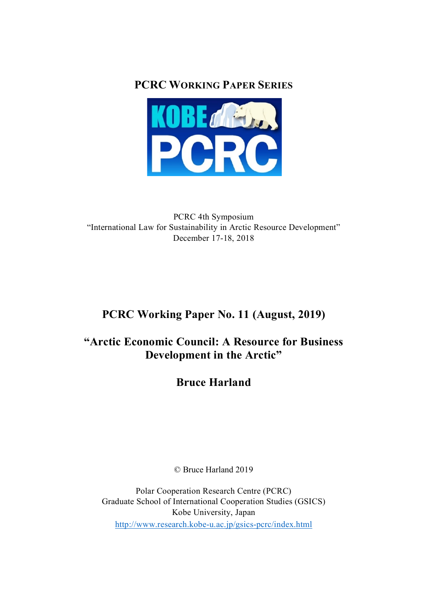**PCRC WORKING PAPER SERIES**



PCRC 4th Symposium "International Law for Sustainability in Arctic Resource Development" December 17-18, 2018

# **PCRC Working Paper No. 11 (August, 2019)**

# **"Arctic Economic Council: A Resource for Business Development in the Arctic"**

**Bruce Harland**

© Bruce Harland 2019

Polar Cooperation Research Centre (PCRC) Graduate School of International Cooperation Studies (GSICS) Kobe University, Japan http://www.research.kobe-u.ac.jp/gsics-pcrc/index.html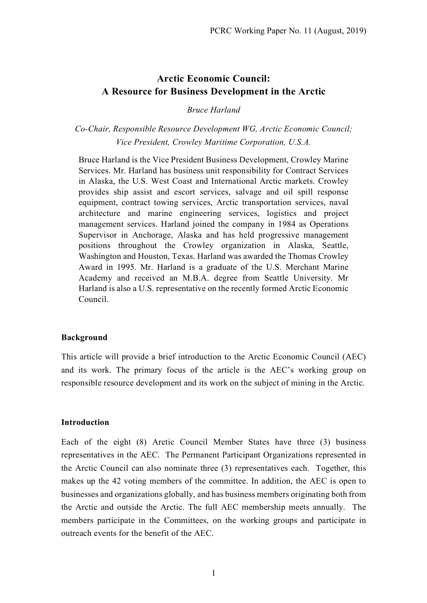# **Arctic Economic Council: A Resource for Business Development in the Arctic**

#### *Bruce Harland*

# *Co-Chair, Responsible Resource Development WG, Arctic Economic Council; Vice President, Crowley Maritime Corporation, U.S.A.*

Bruce Harland is the Vice President Business Development, Crowley Marine Services. Mr. Harland has business unit responsibility for Contract Services in Alaska, the U.S. West Coast and International Arctic markets. Crowley provides ship assist and escort services, salvage and oil spill response equipment, contract towing services, Arctic transportation services, naval architecture and marine engineering services, logistics and project management services. Harland joined the company in 1984 as Operations Supervisor in Anchorage, Alaska and has held progressive management positions throughout the Crowley organization in Alaska, Seattle, Washington and Houston, Texas. Harland was awarded the Thomas Crowley Award in 1995. Mr. Harland is a graduate of the U.S. Merchant Marine Academy and received an M.B.A. degree from Seattle University. Mr Harland is also a U.S. representative on the recently formed Arctic Economic Council.

#### **Background**

This article will provide a brief introduction to the Arctic Economic Council (AEC) and its work. The primary focus of the article is the AEC's working group on responsible resource development and its work on the subject of mining in the Arctic.

#### **Introduction**

Each of the eight (8) Arctic Council Member States have three (3) business representatives in the AEC. The Permanent Participant Organizations represented in the Arctic Council can also nominate three (3) representatives each. Together, this makes up the 42 voting members of the committee. In addition, the AEC is open to businesses and organizations globally, and has business members originating both from the Arctic and outside the Arctic. The full AEC membership meets annually. The members participate in the Committees, on the working groups and participate in outreach events for the benefit of the AEC.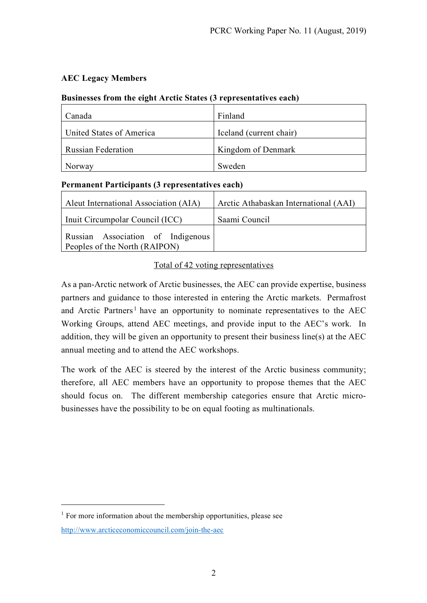# **AEC Legacy Members**

# **Businesses from the eight Arctic States (3 representatives each)**

| Canada                    | Finland                 |
|---------------------------|-------------------------|
| United States of America  | Iceland (current chair) |
| <b>Russian Federation</b> | Kingdom of Denmark      |
| Norway                    | Sweden                  |

## **Permanent Participants (3 representatives each)**

| Aleut International Association (AIA) | Arctic Athabaskan International (AAI) |
|---------------------------------------|---------------------------------------|
| Inuit Circumpolar Council (ICC)       | Saami Council                         |
| Russian Association of Indigenous     |                                       |
| Peoples of the North (RAIPON)         |                                       |

## Total of 42 voting representatives

As a pan-Arctic network of Arctic businesses, the AEC can provide expertise, business partners and guidance to those interested in entering the Arctic markets. Permafrost and Arctic Partners<sup>1</sup> have an opportunity to nominate representatives to the  $AEC$ Working Groups, attend AEC meetings, and provide input to the AEC's work. In addition, they will be given an opportunity to present their business line(s) at the AEC annual meeting and to attend the AEC workshops.

The work of the AEC is steered by the interest of the Arctic business community; therefore, all AEC members have an opportunity to propose themes that the AEC should focus on. The different membership categories ensure that Arctic microbusinesses have the possibility to be on equal footing as multinationals.

<u>.</u>

 $<sup>1</sup>$  For more information about the membership opportunities, please see</sup> http://www.arcticeconomiccouncil.com/join-the-aec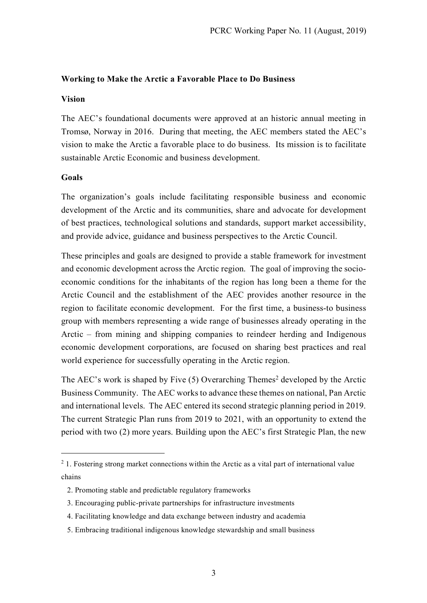#### **Working to Make the Arctic a Favorable Place to Do Business**

#### **Vision**

The AEC's foundational documents were approved at an historic annual meeting in Tromsø, Norway in 2016. During that meeting, the AEC members stated the AEC's vision to make the Arctic a favorable place to do business. Its mission is to facilitate sustainable Arctic Economic and business development.

#### **Goals**

The organization's goals include facilitating responsible business and economic development of the Arctic and its communities, share and advocate for development of best practices, technological solutions and standards, support market accessibility, and provide advice, guidance and business perspectives to the Arctic Council.

These principles and goals are designed to provide a stable framework for investment and economic development across the Arctic region. The goal of improving the socioeconomic conditions for the inhabitants of the region has long been a theme for the Arctic Council and the establishment of the AEC provides another resource in the region to facilitate economic development. For the first time, a business-to business group with members representing a wide range of businesses already operating in the Arctic – from mining and shipping companies to reindeer herding and Indigenous economic development corporations, are focused on sharing best practices and real world experience for successfully operating in the Arctic region.

The AEC's work is shaped by Five  $(5)$  Overarching Themes<sup>2</sup> developed by the Arctic Business Community. The AEC works to advance these themes on national, Pan Arctic and international levels. The AEC entered its second strategic planning period in 2019. The current Strategic Plan runs from 2019 to 2021, with an opportunity to extend the period with two (2) more years. Building upon the AEC's first Strategic Plan, the new

- 4. Facilitating knowledge and data exchange between industry and academia
- 5. Embracing traditional indigenous knowledge stewardship and small business

<sup>&</sup>lt;sup>2</sup> 1. Fostering strong market connections within the Arctic as a vital part of international value chains

<sup>2.</sup> Promoting stable and predictable regulatory frameworks

 <sup>3.</sup> Encouraging public-private partnerships for infrastructure investments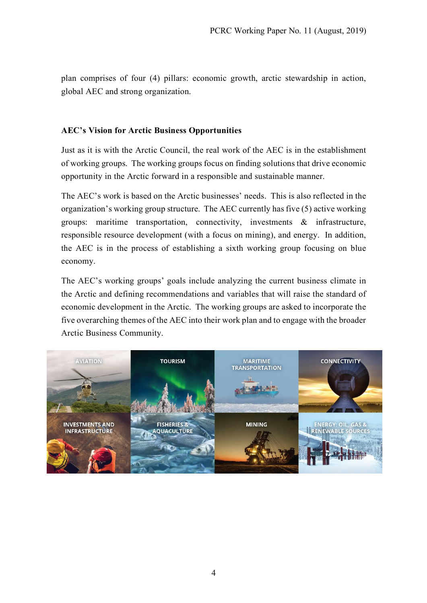plan comprises of four (4) pillars: economic growth, arctic stewardship in action, global AEC and strong organization.

## **AEC's Vision for Arctic Business Opportunities**

Just as it is with the Arctic Council, the real work of the AEC is in the establishment of working groups. The working groups focus on finding solutions that drive economic opportunity in the Arctic forward in a responsible and sustainable manner.

The AEC's work is based on the Arctic businesses' needs. This is also reflected in the organization's working group structure. The AEC currently has five (5) active working groups: maritime transportation, connectivity, investments & infrastructure, responsible resource development (with a focus on mining), and energy. In addition, the AEC is in the process of establishing a sixth working group focusing on blue economy.

The AEC's working groups' goals include analyzing the current business climate in the Arctic and defining recommendations and variables that will raise the standard of economic development in the Arctic. The working groups are asked to incorporate the five overarching themes of the AEC into their work plan and to engage with the broader Arctic Business Community.

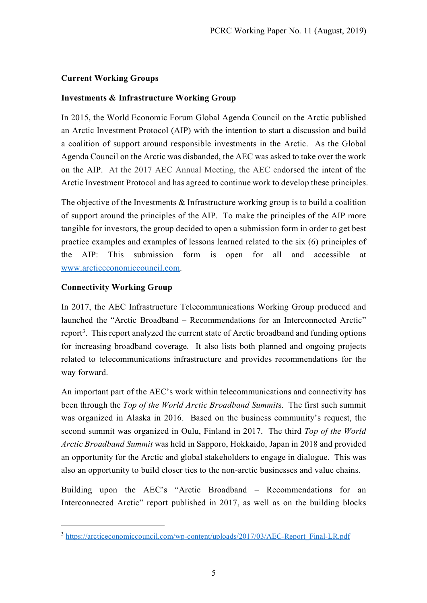# **Current Working Groups**

# **Investments & Infrastructure Working Group**

In 2015, the World Economic Forum Global Agenda Council on the Arctic published an Arctic Investment Protocol (AIP) with the intention to start a discussion and build a coalition of support around responsible investments in the Arctic. As the Global Agenda Council on the Arctic was disbanded, the AEC was asked to take over the work on the AIP. At the 2017 AEC Annual Meeting, the AEC endorsed the intent of the Arctic Investment Protocol and has agreed to continue work to develop these principles.

The objective of the Investments  $\&$  Infrastructure working group is to build a coalition of support around the principles of the AIP. To make the principles of the AIP more tangible for investors, the group decided to open a submission form in order to get best practice examples and examples of lessons learned related to the six (6) principles of the AIP: This submission form is open for all and accessible at www.arcticeconomiccouncil.com.

# **Connectivity Working Group**

In 2017, the AEC Infrastructure Telecommunications Working Group produced and launched the "Arctic Broadband – Recommendations for an Interconnected Arctic" report<sup>3</sup>. This report analyzed the current state of Arctic broadband and funding options for increasing broadband coverage. It also lists both planned and ongoing projects related to telecommunications infrastructure and provides recommendations for the way forward.

An important part of the AEC's work within telecommunications and connectivity has been through the *Top of the World Arctic Broadband Summit*s. The first such summit was organized in Alaska in 2016. Based on the business community's request, the second summit was organized in Oulu, Finland in 2017. The third *Top of the World Arctic Broadband Summit* was held in Sapporo, Hokkaido, Japan in 2018 and provided an opportunity for the Arctic and global stakeholders to engage in dialogue. This was also an opportunity to build closer ties to the non-arctic businesses and value chains.

Building upon the AEC's "Arctic Broadband – Recommendations for an Interconnected Arctic" report published in 2017, as well as on the building blocks

<sup>&</sup>lt;sup>3</sup> https://arcticeconomiccouncil.com/wp-content/uploads/2017/03/AEC-Report\_Final-LR.pdf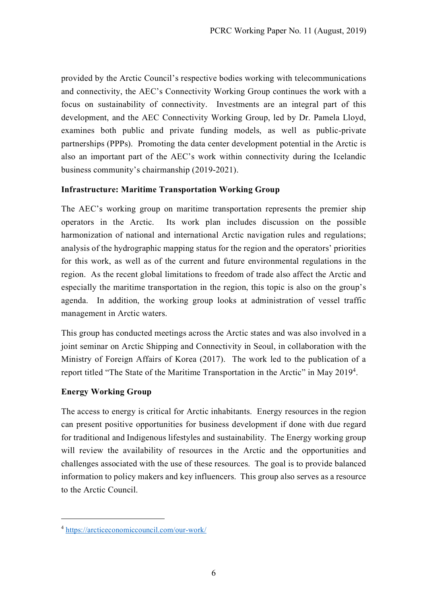provided by the Arctic Council's respective bodies working with telecommunications and connectivity, the AEC's Connectivity Working Group continues the work with a focus on sustainability of connectivity. Investments are an integral part of this development, and the AEC Connectivity Working Group, led by Dr. Pamela Lloyd, examines both public and private funding models, as well as public-private partnerships (PPPs). Promoting the data center development potential in the Arctic is also an important part of the AEC's work within connectivity during the Icelandic business community's chairmanship (2019-2021).

## **Infrastructure: Maritime Transportation Working Group**

The AEC's working group on maritime transportation represents the premier ship operators in the Arctic. Its work plan includes discussion on the possible harmonization of national and international Arctic navigation rules and regulations; analysis of the hydrographic mapping status for the region and the operators' priorities for this work, as well as of the current and future environmental regulations in the region. As the recent global limitations to freedom of trade also affect the Arctic and especially the maritime transportation in the region, this topic is also on the group's agenda. In addition, the working group looks at administration of vessel traffic management in Arctic waters.

This group has conducted meetings across the Arctic states and was also involved in a joint seminar on Arctic Shipping and Connectivity in Seoul, in collaboration with the Ministry of Foreign Affairs of Korea (2017). The work led to the publication of a report titled "The State of the Maritime Transportation in the Arctic" in May 20194.

#### **Energy Working Group**

1

The access to energy is critical for Arctic inhabitants. Energy resources in the region can present positive opportunities for business development if done with due regard for traditional and Indigenous lifestyles and sustainability. The Energy working group will review the availability of resources in the Arctic and the opportunities and challenges associated with the use of these resources. The goal is to provide balanced information to policy makers and key influencers. This group also serves as a resource to the Arctic Council.

<sup>4</sup> https://arcticeconomiccouncil.com/our-work/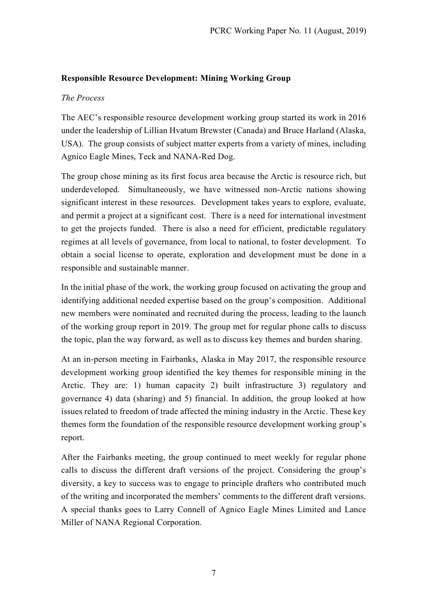## **Responsible Resource Development: Mining Working Group**

## *The Process*

The AEC's responsible resource development working group started its work in 2016 under the leadership of Lillian Hvatum Brewster (Canada) and Bruce Harland (Alaska, USA). The group consists of subject matter experts from a variety of mines, including Agnico Eagle Mines, Teck and NANA-Red Dog.

The group chose mining as its first focus area because the Arctic is resource rich, but underdeveloped. Simultaneously, we have witnessed non-Arctic nations showing significant interest in these resources. Development takes years to explore, evaluate, and permit a project at a significant cost. There is a need for international investment to get the projects funded. There is also a need for efficient, predictable regulatory regimes at all levels of governance, from local to national, to foster development. To obtain a social license to operate, exploration and development must be done in a responsible and sustainable manner.

In the initial phase of the work, the working group focused on activating the group and identifying additional needed expertise based on the group's composition. Additional new members were nominated and recruited during the process, leading to the launch of the working group report in 2019. The group met for regular phone calls to discuss the topic, plan the way forward, as well as to discuss key themes and burden sharing.

At an in-person meeting in Fairbanks, Alaska in May 2017, the responsible resource development working group identified the key themes for responsible mining in the Arctic. They are: 1) human capacity 2) built infrastructure 3) regulatory and governance 4) data (sharing) and 5) financial. In addition, the group looked at how issues related to freedom of trade affected the mining industry in the Arctic. These key themes form the foundation of the responsible resource development working group's report.

After the Fairbanks meeting, the group continued to meet weekly for regular phone calls to discuss the different draft versions of the project. Considering the group's diversity, a key to success was to engage to principle drafters who contributed much of the writing and incorporated the members' comments to the different draft versions. A special thanks goes to Larry Connell of Agnico Eagle Mines Limited and Lance Miller of NANA Regional Corporation.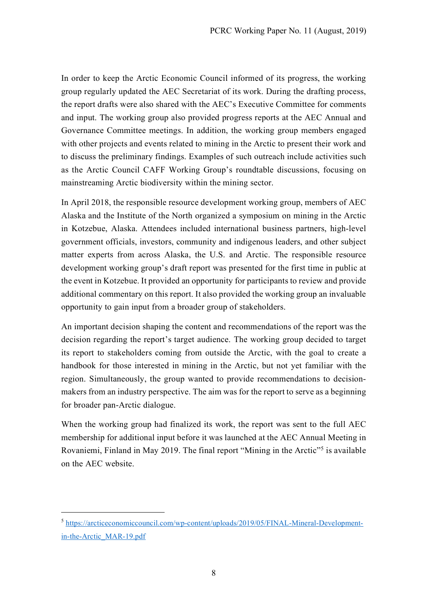In order to keep the Arctic Economic Council informed of its progress, the working group regularly updated the AEC Secretariat of its work. During the drafting process, the report drafts were also shared with the AEC's Executive Committee for comments and input. The working group also provided progress reports at the AEC Annual and Governance Committee meetings. In addition, the working group members engaged with other projects and events related to mining in the Arctic to present their work and to discuss the preliminary findings. Examples of such outreach include activities such as the Arctic Council CAFF Working Group's roundtable discussions, focusing on mainstreaming Arctic biodiversity within the mining sector.

In April 2018, the responsible resource development working group, members of AEC Alaska and the Institute of the North organized a symposium on mining in the Arctic in Kotzebue, Alaska. Attendees included international business partners, high-level government officials, investors, community and indigenous leaders, and other subject matter experts from across Alaska, the U.S. and Arctic. The responsible resource development working group's draft report was presented for the first time in public at the event in Kotzebue. It provided an opportunity for participants to review and provide additional commentary on this report. It also provided the working group an invaluable opportunity to gain input from a broader group of stakeholders.

An important decision shaping the content and recommendations of the report was the decision regarding the report's target audience. The working group decided to target its report to stakeholders coming from outside the Arctic, with the goal to create a handbook for those interested in mining in the Arctic, but not yet familiar with the region. Simultaneously, the group wanted to provide recommendations to decisionmakers from an industry perspective. The aim was for the report to serve as a beginning for broader pan-Arctic dialogue.

When the working group had finalized its work, the report was sent to the full AEC membership for additional input before it was launched at the AEC Annual Meeting in Rovaniemi, Finland in May 2019. The final report "Mining in the Arctic"<sup>5</sup> is available on the AEC website.

 <sup>5</sup> https://arcticeconomiccouncil.com/wp-content/uploads/2019/05/FINAL-Mineral-Developmentin-the-Arctic\_MAR-19.pdf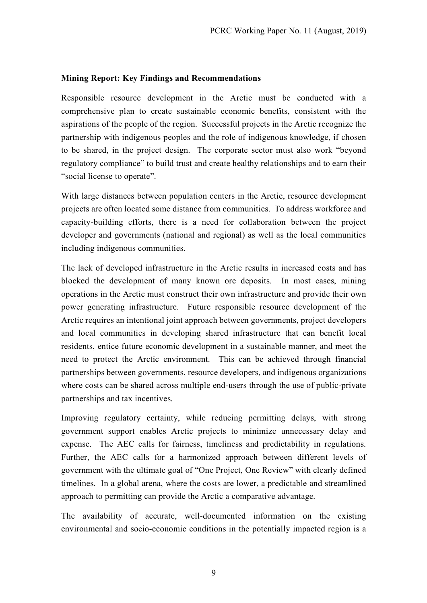#### **Mining Report: Key Findings and Recommendations**

Responsible resource development in the Arctic must be conducted with a comprehensive plan to create sustainable economic benefits, consistent with the aspirations of the people of the region. Successful projects in the Arctic recognize the partnership with indigenous peoples and the role of indigenous knowledge, if chosen to be shared, in the project design. The corporate sector must also work "beyond regulatory compliance" to build trust and create healthy relationships and to earn their "social license to operate".

With large distances between population centers in the Arctic, resource development projects are often located some distance from communities. To address workforce and capacity-building efforts, there is a need for collaboration between the project developer and governments (national and regional) as well as the local communities including indigenous communities.

The lack of developed infrastructure in the Arctic results in increased costs and has blocked the development of many known ore deposits. In most cases, mining operations in the Arctic must construct their own infrastructure and provide their own power generating infrastructure. Future responsible resource development of the Arctic requires an intentional joint approach between governments, project developers and local communities in developing shared infrastructure that can benefit local residents, entice future economic development in a sustainable manner, and meet the need to protect the Arctic environment. This can be achieved through financial partnerships between governments, resource developers, and indigenous organizations where costs can be shared across multiple end-users through the use of public-private partnerships and tax incentives.

Improving regulatory certainty, while reducing permitting delays, with strong government support enables Arctic projects to minimize unnecessary delay and expense. The AEC calls for fairness, timeliness and predictability in regulations. Further, the AEC calls for a harmonized approach between different levels of government with the ultimate goal of "One Project, One Review" with clearly defined timelines. In a global arena, where the costs are lower, a predictable and streamlined approach to permitting can provide the Arctic a comparative advantage.

The availability of accurate, well-documented information on the existing environmental and socio-economic conditions in the potentially impacted region is a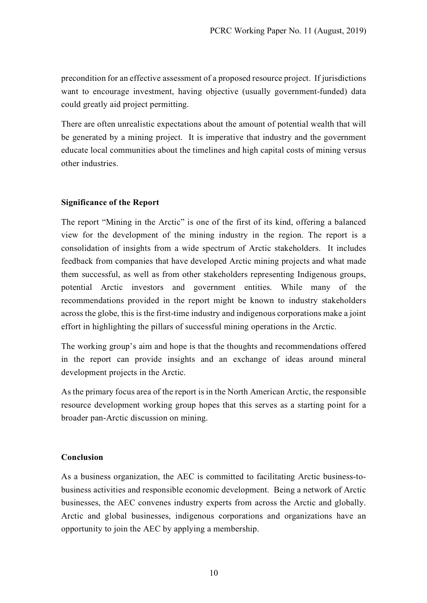precondition for an effective assessment of a proposed resource project. If jurisdictions want to encourage investment, having objective (usually government-funded) data could greatly aid project permitting.

There are often unrealistic expectations about the amount of potential wealth that will be generated by a mining project. It is imperative that industry and the government educate local communities about the timelines and high capital costs of mining versus other industries.

# **Significance of the Report**

The report "Mining in the Arctic" is one of the first of its kind, offering a balanced view for the development of the mining industry in the region. The report is a consolidation of insights from a wide spectrum of Arctic stakeholders. It includes feedback from companies that have developed Arctic mining projects and what made them successful, as well as from other stakeholders representing Indigenous groups, potential Arctic investors and government entities. While many of the recommendations provided in the report might be known to industry stakeholders across the globe, this is the first-time industry and indigenous corporations make a joint effort in highlighting the pillars of successful mining operations in the Arctic.

The working group's aim and hope is that the thoughts and recommendations offered in the report can provide insights and an exchange of ideas around mineral development projects in the Arctic.

As the primary focus area of the report is in the North American Arctic, the responsible resource development working group hopes that this serves as a starting point for a broader pan-Arctic discussion on mining.

#### **Conclusion**

As a business organization, the AEC is committed to facilitating Arctic business-tobusiness activities and responsible economic development. Being a network of Arctic businesses, the AEC convenes industry experts from across the Arctic and globally. Arctic and global businesses, indigenous corporations and organizations have an opportunity to join the AEC by applying a membership.